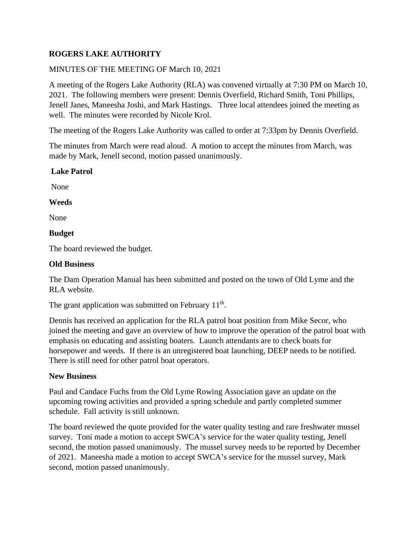# **ROGERS LAKE AUTHORITY**

## MINUTES OF THE MEETING OF March 10, 2021

A meeting of the Rogers Lake Authority (RLA) was convened virtually at 7:30 PM on March 10, 2021. The following members were present: Dennis Overfield, Richard Smith, Toni Phillips, Jenell Janes, Maneesha Joshi, and Mark Hastings. Three local attendees joined the meeting as well. The minutes were recorded by Nicole Krol.

The meeting of the Rogers Lake Authority was called to order at 7:33pm by Dennis Overfield.

The minutes from March were read aloud. A motion to accept the minutes from March, was made by Mark, Jenell second, motion passed unanimously.

#### **Lake Patrol**

None

#### **Weeds**

None

#### **Budget**

The board reviewed the budget.

#### **Old Business**

The Dam Operation Manual has been submitted and posted on the town of Old Lyme and the RLA website.

The grant application was submitted on February  $11<sup>th</sup>$ .

Dennis has received an application for the RLA patrol boat position from Mike Secor, who joined the meeting and gave an overview of how to improve the operation of the patrol boat with emphasis on educating and assisting boaters. Launch attendants are to check boats for horsepower and weeds. If there is an unregistered boat launching, DEEP needs to be notified. There is still need for other patrol boat operators.

### **New Business**

Paul and Candace Fuchs from the Old Lyme Rowing Association gave an update on the upcoming rowing activities and provided a spring schedule and partly completed summer schedule. Fall activity is still unknown.

The board reviewed the quote provided for the water quality testing and rare freshwater mussel survey. Toni made a motion to accept SWCA's service for the water quality testing, Jenell second, the motion passed unanimously. The mussel survey needs to be reported by December of 2021. Maneesha made a motion to accept SWCA's service for the mussel survey, Mark second, motion passed unanimously.